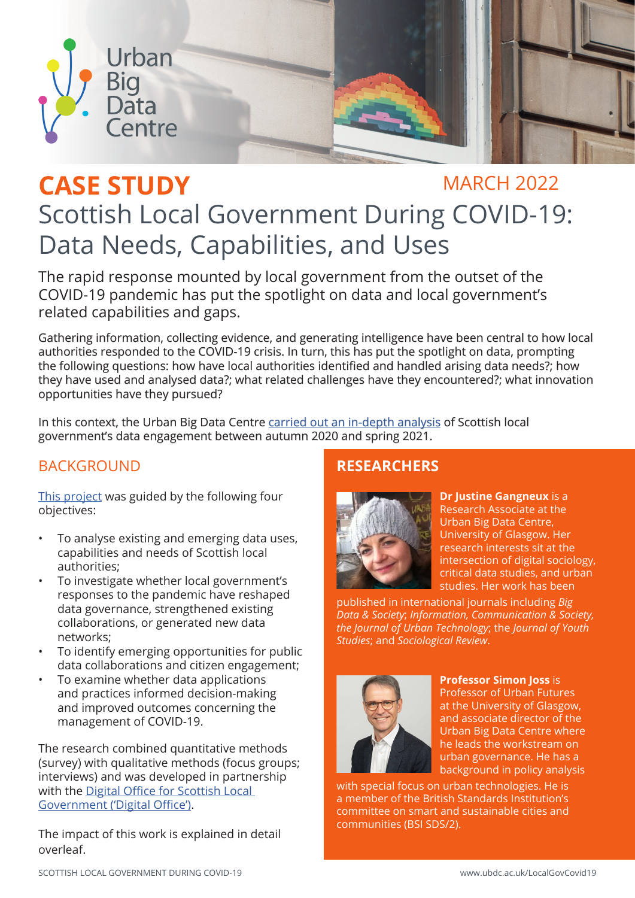

# CASE STUDY MARCH 2022 Scottish Local Government During COVID-19: Data Needs, Capabilities, and Uses

The rapid response mounted by local government from the outset of the COVID-19 pandemic has put the spotlight on data and local government's related capabilities and gaps.

Gathering information, collecting evidence, and generating intelligence have been central to how local authorities responded to the COVID-19 crisis. In turn, this has put the spotlight on data, prompting the following questions: how have local authorities identified and handled arising data needs?; how they have used and analysed data?; what related challenges have they encountered?; what innovation opportunities have they pursued?

In this context, the Urban Big Data Centre [carried out an in-depth analysis](https://www.ubdc.ac.uk/media/2202/scottish-local-government-during-covid-19-report-may-2021.pdf) of Scottish local government's data engagement between autumn 2020 and spring 2021.

## BACKGROUND **RESEARCHERS**

[This project](https://www.ubdc.ac.uk/research/research-projects/urban-governance/scottish-local-government-during-covid-19/) was guided by the following four objectives:

- To analyse existing and emerging data uses, capabilities and needs of Scottish local authorities;
- To investigate whether local government's responses to the pandemic have reshaped data governance, strengthened existing collaborations, or generated new data networks;
- To identify emerging opportunities for public data collaborations and citizen engagement;
- To examine whether data applications and practices informed decision-making and improved outcomes concerning the management of COVID-19.

The research combined quantitative methods (survey) with qualitative methods (focus groups; interviews) and was developed in partnership with the Digital Office for Scottish Local [Government \('Digital Office'\)](https://www.digitaloffice.scot/).

The impact of this work is explained in detail overleaf.



**Dr Justine Gangneux** is a Research Associate at the Urban Big Data Centre, University of Glasgow. Her research interests sit at the intersection of digital sociology, critical data studies, and urban studies. Her work has been

published in international journals including *Big Data & Society*; *Information, Communication & Society, the Journal of Urban Technology*; the *Journal of Youth Studies*; and *Sociological Review*.



### **Professor Simon Joss** is

Professor of Urban Futures at the University of Glasgow, and associate director of the Urban Big Data Centre where he leads the workstream on urban governance. He has a background in policy analysis

with special focus on urban technologies. He is a member of the British Standards Institution's committee on smart and sustainable cities and communities (BSI SDS/2).